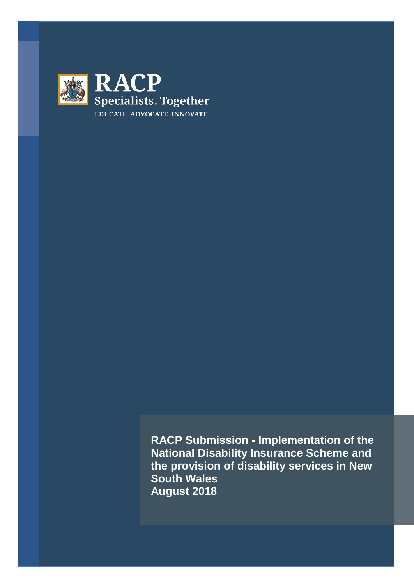

**RACP Submission - Implementation of the National Disability Insurance Scheme and the provision of disability services in New South Wales August 2018**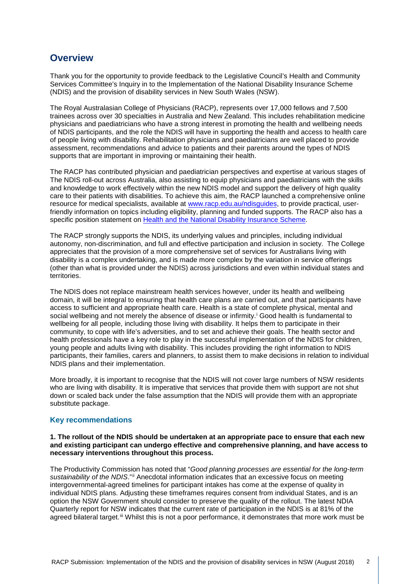# **Overview**

Thank you for the opportunity to provide feedback to the Legislative Council's Health and Community Services Committee's Inquiry in to the Implementation of the National Disability Insurance Scheme (NDIS) and the provision of disability services in New South Wales (NSW).

The Royal Australasian College of Physicians (RACP), represents over 17,000 fellows and 7,500 trainees across over 30 specialties in Australia and New Zealand. This includes rehabilitation medicine physicians and paediatricians who have a strong interest in promoting the health and wellbeing needs of NDIS participants, and the role the NDIS will have in supporting the health and access to health care of people living with disability. Rehabilitation physicians and paediatricians are well placed to provide assessment, recommendations and advice to patients and their parents around the types of NDIS supports that are important in improving or maintaining their health.

The RACP has contributed physician and paediatrician perspectives and expertise at various stages of The NDIS roll-out across Australia, also assisting to equip physicians and paediatricians with the skills and knowledge to work effectively within the new NDIS model and support the delivery of high quality care to their patients with disabilities. To achieve this aim, the RACP launched a comprehensive online resource for medical specialists, available at [www.racp.edu.au/ndisguides,](http://www.racp.edu.au/ndisguides) to provide practical, userfriendly information on topics including eligibility, planning and funded supports. The RACP also has a specific position statement on [Health and the National Disability Insurance Scheme.](https://www.racp.edu.au/advocacy/policy-and-advocacy-priorities/national-disability-insurance-scheme)

The RACP strongly supports the NDIS, its underlying values and principles, including individual autonomy, non-discrimination, and full and effective participation and inclusion in society. The College appreciates that the provision of a more comprehensive set of services for Australians living with disability is a complex undertaking, and is made more complex by the variation in service offerings (other than what is provided under the NDIS) across jurisdictions and even within individual states and territories.

The NDIS does not replace mainstream health services however, under its health and wellbeing domain, it will be integral to ensuring that health care plans are carried out, and that participants have access to sufficient and appropriate health care. Health is a state of complete physical, mental and soc[i](#page-2-0)al wellbeing and not merely the absence of disease or infirmity.<sup>i</sup> Good health is fundamental to wellbeing for all people, including those living with disability. It helps them to participate in their community, to cope with life's adversities, and to set and achieve their goals. The health sector and health professionals have a key role to play in the successful implementation of the NDIS for children, young people and adults living with disability. This includes providing the right information to NDIS participants, their families, carers and planners, to assist them to make decisions in relation to individual NDIS plans and their implementation.

More broadly, it is important to recognise that the NDIS will not cover large numbers of NSW residents who are living with disability. It is imperative that services that provide them with support are not shut down or scaled back under the false assumption that the NDIS will provide them with an appropriate substitute package.

# **Key recommendations**

#### **1. The rollout of the NDIS should be undertaken at an appropriate pace to ensure that each new and existing participant can undergo effective and comprehensive planning, and have access to necessary interventions throughout this process.**

The Productivity Commission has noted that "*Good planning processes are essential for the long-term sustainability of the NDIS*."[ii](#page-2-1) Anecdotal information indicates that an excessive focus on meeting intergovernmental-agreed timelines for participant intakes has come at the expense of quality in individual NDIS plans. Adjusting these timeframes requires consent from individual States, and is an option the NSW Government should consider to preserve the quality of the rollout. The latest NDIA Quarterly report for NSW indicates that the current rate of participation in the NDIS is at 81% of the agreed bilateral target.<sup>[iii](#page-2-2)</sup> Whilst this is not a poor performance, it demonstrates that more work must be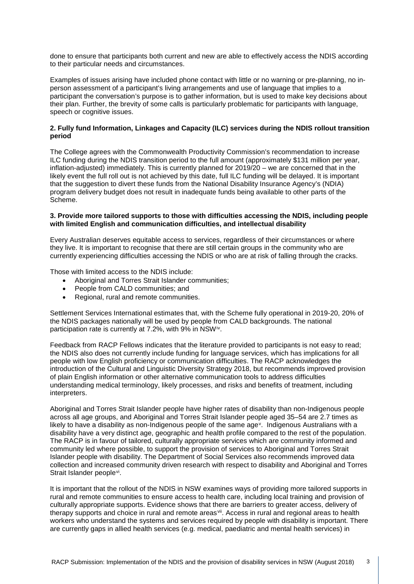done to ensure that participants both current and new are able to effectively access the NDIS according to their particular needs and circumstances.

<span id="page-2-0"></span>Examples of issues arising have included phone contact with little or no warning or pre-planning, no inperson assessment of a participant's living arrangements and use of language that implies to a participant the conversation's purpose is to gather information, but is used to make key decisions about their plan. Further, the brevity of some calls is particularly problematic for participants with language, speech or cognitive issues.

### <span id="page-2-2"></span><span id="page-2-1"></span>**2. Fully fund Information, Linkages and Capacity (ILC) services during the NDIS rollout transition period**

The College agrees with the Commonwealth Productivity Commission's recommendation to increase ILC funding during the NDIS transition period to the full amount (approximately \$131 million per year, inflation-adjusted) immediately. This is currently planned for 2019/20 – we are concerned that in the likely event the full roll out is not achieved by this date, full ILC funding will be delayed. It is important that the suggestion to divert these funds from the National Disability Insurance Agency's (NDIA) program delivery budget does not result in inadequate funds being available to other parts of the Scheme.

### **3. Provide more tailored supports to those with difficulties accessing the NDIS, including people with limited English and communication difficulties, and intellectual disability**

Every Australian deserves equitable access to services, regardless of their circumstances or where they live. It is important to recognise that there are still certain groups in the community who are currently experiencing difficulties accessing the NDIS or who are at risk of falling through the cracks.

Those with limited access to the NDIS include:

- Aboriginal and Torres Strait Islander communities;
- People from CALD communities; and
- Regional, rural and remote communities.

Settlement Services International estimates that, with the Scheme fully operational in 2019-20, 20% of the NDIS packages nationally will be used by people from CALD backgrounds. The national participation rate is currently at 7.2%, with 9% in NSW<sup>[iv](#page-3-0)</sup>.

Feedback from RACP Fellows indicates that the literature provided to participants is not easy to read; the NDIS also does not currently include funding for language services, which has implications for all people with low English proficiency or communication difficulties. The RACP acknowledges the introduction of the Cultural and Linguistic Diversity Strategy 2018, but recommends improved provision of plain English information or other alternative communication tools to address difficulties understanding medical terminology, likely processes, and risks and benefits of treatment, including interpreters.

Aboriginal and Torres Strait Islander people have higher rates of disability than non-Indigenous people across all age groups, and Aboriginal and Torres Strait Islander people aged 35–54 are 2.7 times as likely to ha[v](#page-3-1)e a disability as non-Indigenous people of the same age<sup> $\vee$ </sup>. Indigenous Australians with a disability have a very distinct age, geographic and health profile compared to the rest of the population. The RACP is in favour of tailored, culturally appropriate services which are community informed and community led where possible, to support the provision of services to Aboriginal and Torres Strait Islander people with disability. The Department of Social Services also recommends improved data collection and increased community driven research with respect to disability and Aboriginal and Torres Strait Islander people<sup>vi</sup>.

It is important that the rollout of the NDIS in NSW examines ways of providing more tailored supports in rural and remote communities to ensure access to health care, including local training and provision of culturally appropriate supports. Evidence shows that there are barriers to greater access, delivery of therapy supports and choice in rural and remote areas<sup>[vii](#page-3-3)</sup>. Access in rural and regional areas to health workers who understand the systems and services required by people with disability is important. There are currently gaps in allied health services (e.g. medical, paediatric and mental health services) in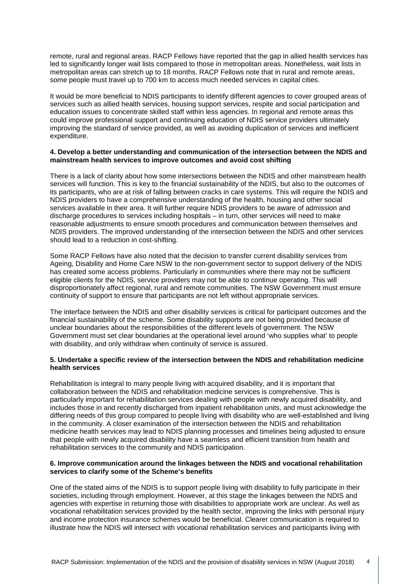remote, rural and regional areas. RACP Fellows have reported that the gap in allied health services has led to significantly longer wait lists compared to those in metropolitan areas. Nonetheless, wait lists in metropolitan areas can stretch up to 18 months. RACP Fellows note that in rural and remote areas, some people must travel up to 700 km to access much needed services in capital cities.

It would be more beneficial to NDIS participants to identify different agencies to cover grouped areas of services such as allied health services, housing support services, respite and social participation and education issues to concentrate skilled staff within less agencies. In regional and remote areas this could improve professional support and continuing education of NDIS service providers ultimately improving the standard of service provided, as well as avoiding duplication of services and inefficient expenditure.

### **4. Develop a better understanding and communication of the intersection between the NDIS and mainstream health services to improve outcomes and avoid cost shifting**

<span id="page-3-1"></span><span id="page-3-0"></span>There is a lack of clarity about how some intersections between the NDIS and other mainstream health services will function. This is key to the financial sustainability of the NDIS, but also to the outcomes of its participants, who are at risk of falling between cracks in care systems. This will require the NDIS and NDIS providers to have a comprehensive understanding of the health, housing and other social services available in their area. It will further require NDIS providers to be aware of admission and discharge procedures to services including hospitals – in turn, other services will need to make reasonable adjustments to ensure smooth procedures and communication between themselves and NDIS providers. The improved understanding of the intersection between the NDIS and other services should lead to a reduction in cost-shifting.

<span id="page-3-3"></span><span id="page-3-2"></span>Some RACP Fellows have also noted that the decision to transfer current disability services from Ageing, Disability and Home Care NSW to the non-government sector to support delivery of the NDIS has created some access problems. Particularly in communities where there may not be sufficient eligible clients for the NDIS, service providers may not be able to continue operating. This will disproportionately affect regional, rural and remote communities. The NSW Government must ensure continuity of support to ensure that participants are not left without appropriate services.

The interface between the NDIS and other disability services is critical for participant outcomes and the financial sustainability of the scheme. Some disability supports are not being provided because of unclear boundaries about the responsibilities of the different levels of government. The NSW Government must set clear boundaries at the operational level around 'who supplies what' to people with disability, and only withdraw when continuity of service is assured.

## **5. Undertake a specific review of the intersection between the NDIS and rehabilitation medicine health services**

Rehabilitation is integral to many people living with acquired disability, and it is important that collaboration between the NDIS and rehabilitation medicine services is comprehensive. This is particularly important for rehabilitation services dealing with people with newly acquired disability, and includes those in and recently discharged from inpatient rehabilitation units, and must acknowledge the differing needs of this group compared to people living with disability who are well-established and living in the community. A closer examination of the intersection between the NDIS and rehabilitation medicine health services may lead to NDIS planning processes and timelines being adjusted to ensure that people with newly acquired disability have a seamless and efficient transition from health and rehabilitation services to the community and NDIS participation.

## **6. Improve communication around the linkages between the NDIS and vocational rehabilitation services to clarify some of the Scheme's benefits**

One of the stated aims of the NDIS is to support people living with disability to fully participate in their societies, including through employment. However, at this stage the linkages between the NDIS and agencies with expertise in returning those with disabilities to appropriate work are unclear. As well as vocational rehabilitation services provided by the health sector, improving the links with personal injury and income protection insurance schemes would be beneficial. Clearer communication is required to illustrate how the NDIS will intersect with vocational rehabilitation services and participants living with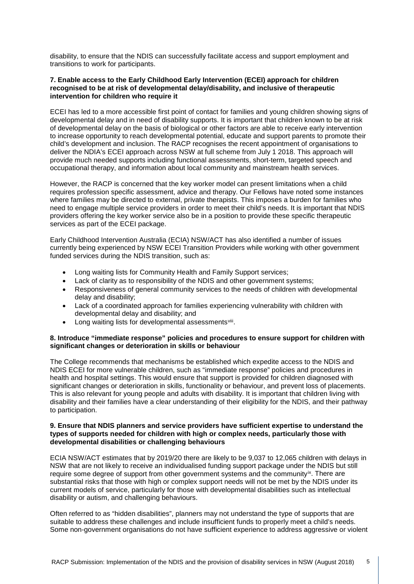disability, to ensure that the NDIS can successfully facilitate access and support employment and transitions to work for participants.

#### **7. Enable access to the Early Childhood Early Intervention (ECEI) approach for children recognised to be at risk of developmental delay/disability, and inclusive of therapeutic intervention for children who require it**

ECEI has led to a more accessible first point of contact for families and young children showing signs of developmental delay and in need of disability supports. It is important that children known to be at risk of developmental delay on the basis of biological or other factors are able to receive early intervention to increase opportunity to reach developmental potential, educate and support parents to promote their child's development and inclusion. The RACP recognises the recent appointment of organisations to deliver the NDIA's ECEI approach across NSW at full scheme from July 1 2018. This approach will provide much needed supports including functional assessments, short-term, targeted speech and occupational therapy, and information about local community and mainstream health services.

However, the RACP is concerned that the key worker model can present limitations when a child requires profession specific assessment, advice and therapy. Our Fellows have noted some instances where families may be directed to external, private therapists. This imposes a burden for families who need to engage multiple service providers in order to meet their child's needs. It is important that NDIS providers offering the key worker service also be in a position to provide these specific therapeutic services as part of the ECEI package.

<span id="page-4-0"></span>Early Childhood Intervention Australia (ECIA) NSW/ACT has also identified a number of issues currently being experienced by NSW ECEI Transition Providers while working with other government funded services during the NDIS transition, such as:

- Long waiting lists for Community Health and Family Support services;
- Lack of clarity as to responsibility of the NDIS and other government systems;
- Responsiveness of general community services to the needs of children with developmental delay and disability;
- Lack of a coordinated approach for families experiencing vulnerability with children with developmental delay and disability; and
- Long waiting lists for developmental assessments[viii.](#page-4-0)

### <span id="page-4-1"></span>**8. Introduce "immediate response" policies and procedures to ensure support for children with significant changes or deterioration in skills or behaviour**

The College recommends that mechanisms be established which expedite access to the NDIS and NDIS ECEI for more vulnerable children, such as "immediate response" policies and procedures in health and hospital settings. This would ensure that support is provided for children diagnosed with significant changes or deterioration in skills, functionality or behaviour, and prevent loss of placements. This is also relevant for young people and adults with disability. It is important that children living with disability and their families have a clear understanding of their eligibility for the NDIS, and their pathway to participation.

#### **9. Ensure that NDIS planners and service providers have sufficient expertise to understand the types of supports needed for children with high or complex needs, particularly those with developmental disabilities or challenging behaviours**

ECIA NSW/ACT estimates that by 2019/20 there are likely to be 9,037 to 12,065 children with delays in NSW that are not likely to receive an individualised funding support package under the NDIS but still require some degree of support from other government systems and the community<sup>ix</sup>. There are substantial risks that those with high or complex support needs will not be met by the NDIS under its current models of service, particularly for those with developmental disabilities such as intellectual disability or autism, and challenging behaviours.

Often referred to as "hidden disabilities", planners may not understand the type of supports that are suitable to address these challenges and include insufficient funds to properly meet a child's needs. Some non-government organisations do not have sufficient experience to address aggressive or violent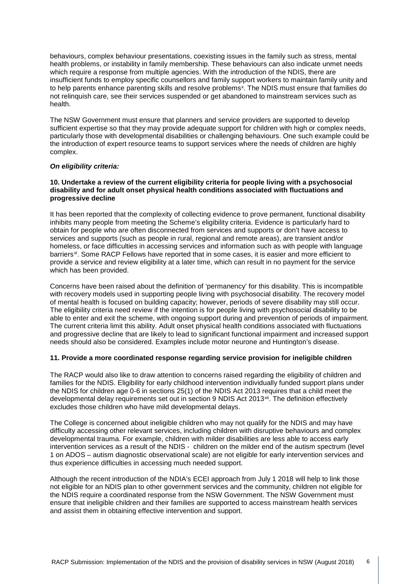behaviours, complex behaviour presentations, coexisting issues in the family such as stress, mental health problems, or instability in family membership. These behaviours can also indicate unmet needs which require a response from multiple agencies. With the introduction of the NDIS, there are insufficient funds to employ specific counsellors and family support workers to maintain family unity and to help parents enhance parenting skills and resolve problems<sup>[x](#page-5-0)</sup>. The NDIS must ensure that families do not relinquish care, see their services suspended or get abandoned to mainstream services such as health.

The NSW Government must ensure that planners and service providers are supported to develop sufficient expertise so that they may provide adequate support for children with high or complex needs, particularly those with developmental disabilities or challenging behaviours. One such example could be the introduction of expert resource teams to support services where the needs of children are highly complex.

## *On eligibility criteria:*

### **10. Undertake a review of the current eligibility criteria for people living with a psychosocial disability and for adult onset physical health conditions associated with fluctuations and progressive decline**

It has been reported that the complexity of collecting evidence to prove permanent, functional disability inhibits many people from meeting the Scheme's eligibility criteria. Evidence is particularly hard to obtain for people who are often disconnected from services and supports or don't have access to services and supports (such as people in rural, regional and remote areas), are transient and/or homeless, or face difficulties in accessing services and information such as with people with language barriers<sup>[xi](#page-5-1)</sup>. Some RACP Fellows have reported that in some cases, it is easier and more efficient to provide a service and review eligibility at a later time, which can result in no payment for the service which has been provided.

Concerns have been raised about the definition of 'permanency' for this disability. This is incompatible with recovery models used in supporting people living with psychosocial disability. The recovery model of mental health is focused on building capacity; however, periods of severe disability may still occur. The eligibility criteria need review if the intention is for people living with psychosocial disability to be able to enter and exit the scheme, with ongoing support during and prevention of periods of impairment. The current criteria limit this ability. Adult onset physical health conditions associated with fluctuations and progressive decline that are likely to lead to significant functional impairment and increased support needs should also be considered. Examples include motor neurone and Huntington's disease.

#### <span id="page-5-1"></span><span id="page-5-0"></span>**11. Provide a more coordinated response regarding service provision for ineligible children**

<span id="page-5-2"></span>The RACP would also like to draw attention to concerns raised regarding the eligibility of children and families for the NDIS. Eligibility for early childhood intervention individually funded support plans under the NDIS for children age 0-6 in sections 25(1) of the NDIS Act 2013 requires that a child meet the developmental delay requirements set out in section 9 NDIS Act 2013<sup>[xii](#page-5-2)</sup>. The definition effectively excludes those children who have mild developmental delays.

The College is concerned about ineligible children who may not qualify for the NDIS and may have difficulty accessing other relevant services, including children with disruptive behaviours and complex developmental trauma. For example, children with milder disabilities are less able to access early intervention services as a result of the NDIS - children on the milder end of the autism spectrum (level 1 on ADOS – autism diagnostic observational scale) are not eligible for early intervention services and thus experience difficulties in accessing much needed support.

Although the recent introduction of the NDIA's ECEI approach from July 1 2018 will help to link those not eligible for an NDIS plan to other government services and the community, children not eligible for the NDIS require a coordinated response from the NSW Government. The NSW Government must ensure that ineligible children and their families are supported to access mainstream health services and assist them in obtaining effective intervention and support.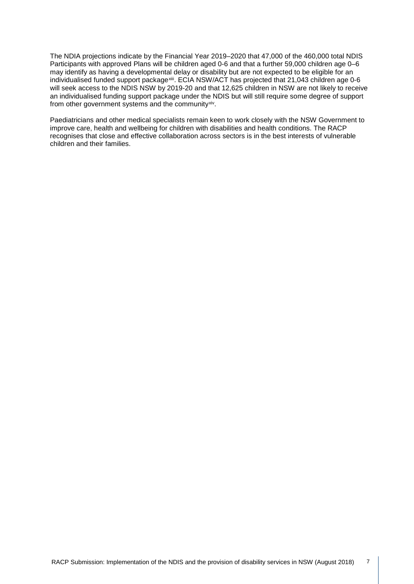The NDIA projections indicate by the Financial Year 2019–2020 that 47,000 of the 460,000 total NDIS Participants with approved Plans will be children aged 0-6 and that a further 59,000 children age 0–6 may identify as having a developmental delay or disability but are not expected to be eligible for an individualised funded support package<sup>xiii</sup>. ECIA NSW/ACT has projected that 21,043 children age 0-6 will seek access to the NDIS NSW by 2019-20 and that 12,625 children in NSW are not likely to receive an individualised funding support package under the NDIS but will still require some degree of support from other government systems and the community<sup>[xiv](#page-6-1)</sup>.

<span id="page-6-1"></span><span id="page-6-0"></span>Paediatricians and other medical specialists remain keen to work closely with the NSW Government to improve care, health and wellbeing for children with disabilities and health conditions. The RACP recognises that close and effective collaboration across sectors is in the best interests of vulnerable children and their families.